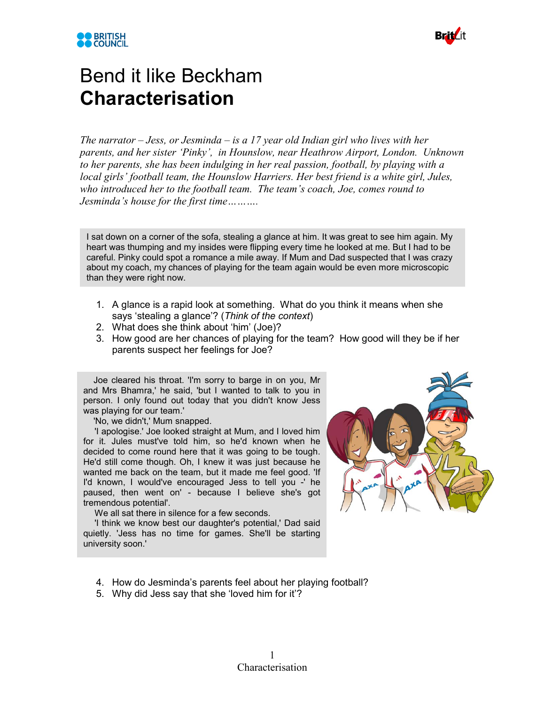



## Bend it like Beckham **Characterisation**

*The narrator – Jess, or Jesminda – is a 17 year old Indian girl who lives with her parents, and her sister 'Pinky', in Hounslow, near Heathrow Airport, London. Unknown to her parents, she has been indulging in her real passion, football, by playing with a local girls' football team, the Hounslow Harriers. Her best friend is a white girl, Jules, who introduced her to the football team. The team's coach, Joe, comes round to Jesminda's house for the first time……….*

I sat down on a corner of the sofa, stealing a glance at him. It was great to see him again. My heart was thumping and my insides were flipping every time he looked at me. But I had to be careful. Pinky could spot a romance a mile away. If Mum and Dad suspected that I was crazy about my coach, my chances of playing for the team again would be even more microscopic than they were right now.

- 1. A glance is a rapid look at something. What do you think it means when she says 'stealing a glance'? (*Think of the context*)
- 2. What does she think about 'him' (Joe)?
- 3. How good are her chances of playing for the team? How good will they be if her parents suspect her feelings for Joe?

Joe cleared his throat. 'I'm sorry to barge in on you, Mr and Mrs Bhamra,' he said, 'but I wanted to talk to you in person. I only found out today that you didn't know Jess was playing for our team.'

'No, we didn't,' Mum snapped.

'I apologise.' Joe looked straight at Mum, and I loved him for it. Jules must've told him, so he'd known when he decided to come round here that it was going to be tough. He'd still come though. Oh, I knew it was just because he wanted me back on the team, but it made me feel good. 'If I'd known, I would've encouraged Jess to tell you -' he paused, then went on' - because I believe she's got tremendous potential'.

We all sat there in silence for a few seconds.

'I think we know best our daughter's potential,' Dad said quietly. 'Jess has no time for games. She'll be starting university soon.'



- 4. How do Jesminda's parents feel about her playing football?
- 5. Why did Jess say that she 'loved him for it'?